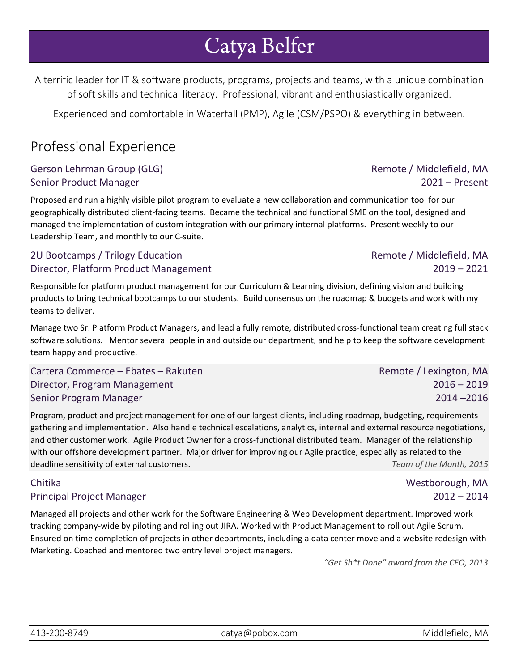# Catya Belfer

A terrific leader for IT & software products, programs, projects and teams, with a unique combination of soft skills and technical literacy. Professional, vibrant and enthusiastically organized.

Experienced and comfortable in Waterfall (PMP), Agile (CSM/PSPO) & everything in between.

# Professional Experience

### Gerson Lehrman Group (GLG) **Remote / Middlefield, MA** Senior Product Manager 2021 – Present

Proposed and run a highly visible pilot program to evaluate a new collaboration and communication tool for our geographically distributed client-facing teams. Became the technical and functional SME on the tool, designed and managed the implementation of custom integration with our primary internal platforms. Present weekly to our Leadership Team, and monthly to our C-suite.

### 2U Bootcamps / Trilogy Education Remote of the Second Remote / Middlefield, MA Director, Platform Product Management 2019 – 2021

Responsible for platform product management for our Curriculum & Learning division, defining vision and building products to bring technical bootcamps to our students. Build consensus on the roadmap & budgets and work with my teams to deliver.

Manage two Sr. Platform Product Managers, and lead a fully remote, distributed cross-functional team creating full stack software solutions. Mentor several people in and outside our department, and help to keep the software development team happy and productive.

Cartera Commerce – Ebates – Rakuten Remote / Lexington, MA Director, Program Management 2016 – 2019 Senior Program Manager 2014 –2016

Program, product and project management for one of our largest clients, including roadmap, budgeting, requirements gathering and implementation. Also handle technical escalations, analytics, internal and external resource negotiations, and other customer work. Agile Product Owner for a cross-functional distributed team. Manager of the relationship with our offshore development partner. Major driver for improving our Agile practice, especially as related to the deadline sensitivity of external customers. *Team of the Month, 2015*

### Chitika Westborough, MA

### Principal Project Manager 2012 – 2014

Managed all projects and other work for the Software Engineering & Web Development department. Improved work tracking company-wide by piloting and rolling out JIRA. Worked with Product Management to roll out Agile Scrum. Ensured on time completion of projects in other departments, including a data center move and a website redesign with Marketing. Coached and mentored two entry level project managers.

*"Get Sh\*t Done" award from the CEO, 2013*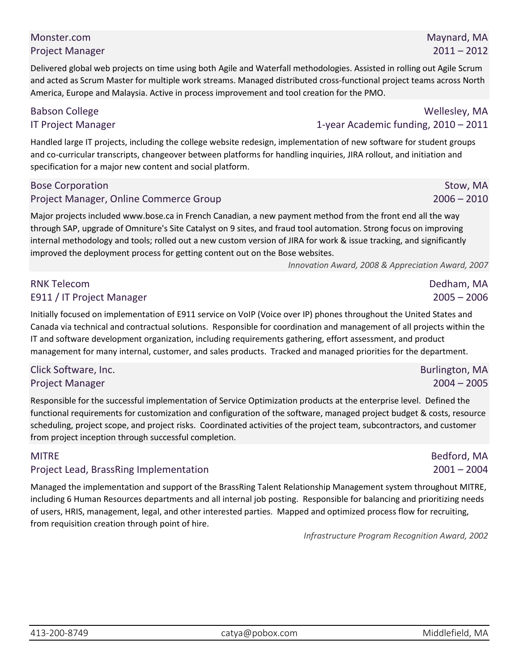### Babson College Wellesley, MA IT Project Manager 1-year Academic funding, 2010 – 2011

Handled large IT projects, including the college website redesign, implementation of new software for student groups and co-curricular transcripts, changeover between platforms for handling inquiries, JIRA rollout, and initiation and specification for a major new content and social platform.

and acted as Scrum Master for multiple work streams. Managed distributed cross-functional project teams across North

America, Europe and Malaysia. Active in process improvement and tool creation for the PMO.

### Bose Corporation Stow, MA Project Manager, Online Commerce Group 2006 – 2010

Major projects included www.bose.ca in French Canadian, a new payment method from the front end all the way through SAP, upgrade of Omniture's Site Catalyst on 9 sites, and fraud tool automation. Strong focus on improving internal methodology and tools; rolled out a new custom version of JIRA for work & issue tracking, and significantly improved the deployment process for getting content out on the Bose websites.

*Innovation Award, 2008 & Appreciation Award, 2007*

### RNK Telecom Dedham, MA E911 / IT Project Manager 2005 – 2006

Initially focused on implementation of E911 service on VoIP (Voice over IP) phones throughout the United States and Canada via technical and contractual solutions. Responsible for coordination and management of all projects within the IT and software development organization, including requirements gathering, effort assessment, and product management for many internal, customer, and sales products. Tracked and managed priorities for the department.

### Click Software, Inc. Burlington, MA Project Manager 2004 – 2005

Responsible for the successful implementation of Service Optimization products at the enterprise level. Defined the functional requirements for customization and configuration of the software, managed project budget & costs, resource scheduling, project scope, and project risks. Coordinated activities of the project team, subcontractors, and customer from project inception through successful completion.

### Project Lead, BrassRing Implementation 2001 – 2004

Managed the implementation and support of the BrassRing Talent Relationship Management system throughout MITRE, including 6 Human Resources departments and all internal job posting. Responsible for balancing and prioritizing needs of users, HRIS, management, legal, and other interested parties. Mapped and optimized process flow for recruiting, from requisition creation through point of hire.

*Infrastructure Program Recognition Award, 2002*

MITRE External of the control of the control of the control of the Bedford, MA